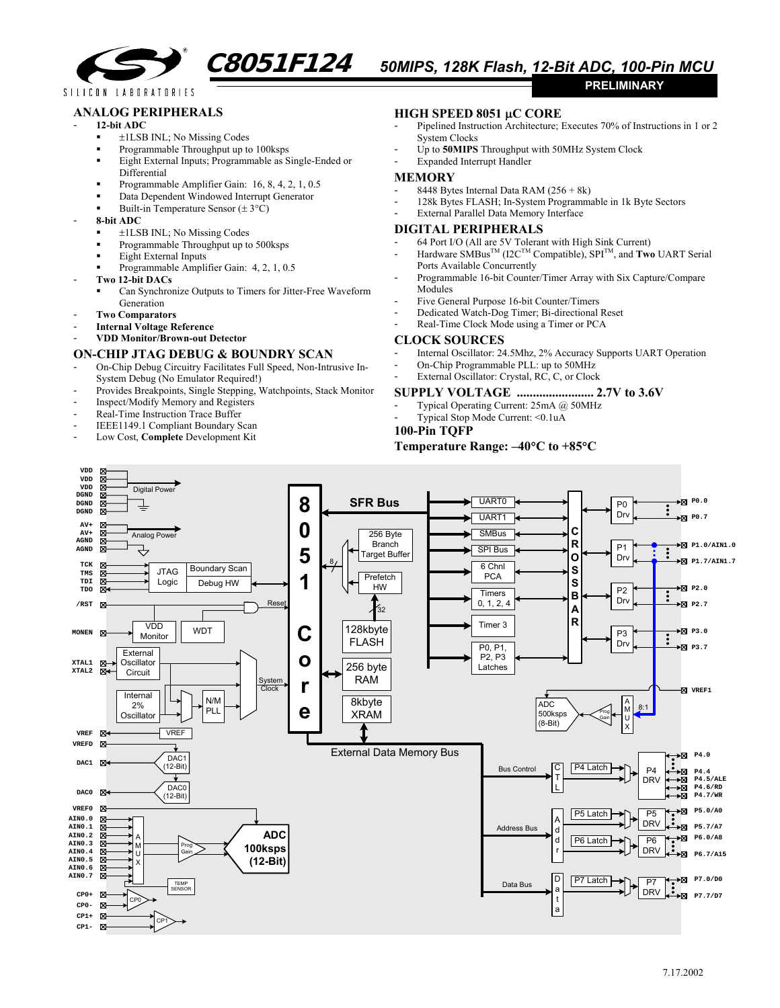

SILICON LABORATORIES

## **ANALOG PERIPHERALS**

#### - **12-bit ADC**

- ±1LSB INL; No Missing Codes
- Programmable Throughput up to 100ksps
- **Eight External Inputs; Programmable as Single-Ended or**
- Differential
- Programmable Amplifier Gain:  $16, 8, 4, 2, 1, 0.5$ Data Dependent Windowed Interrupt Generator
- Built-in Temperature Sensor  $(\pm 3^{\circ}C)$
- **8-bit ADC** 
	- ±1LSB INL; No Missing Codes
	- Programmable Throughput up to 500ksps
	- Eight External Inputs
	- Programmable Amplifier Gain: 4, 2, 1, 0.5
- **Two 12-bit DACs**
	- Can Synchronize Outputs to Timers for Jitter-Free Waveform Generation
- **Two Comparators**
- **Internal Voltage Reference**
- **VDD Monitor/Brown-out Detector**

### **ON-CHIP JTAG DEBUG & BOUNDRY SCAN**

- On-Chip Debug Circuitry Facilitates Full Speed, Non-Intrusive In-System Debug (No Emulator Required!)
- Provides Breakpoints, Single Stepping, Watchpoints, Stack Monitor
- Inspect/Modify Memory and Registers
- Real-Time Instruction Trace Buffer
- IEEE1149.1 Compliant Boundary Scan
- Low Cost, **Complete** Development Kit

# **HIGH SPEED 8051** µ**C CORE**

- Pipelined Instruction Architecture; Executes 70% of Instructions in 1 or 2 System Clocks
- Up to **50MIPS** Throughput with 50MHz System Clock
- Expanded Interrupt Handler

#### **MEMORY**

- 8448 Bytes Internal Data RAM (256 + 8k)
- 128k Bytes FLASH; In-System Programmable in 1k Byte Sectors
- External Parallel Data Memory Interface

## **DIGITAL PERIPHERALS**

- 64 Port I/O (All are 5V Tolerant with High Sink Current)
- $-$  Hardware SMBus<sup>TM</sup> (I2C<sup>TM</sup> Compatible), SPI<sup>TM</sup>, and **Two** UART Serial Ports Available Concurrently
- Programmable 16-bit Counter/Timer Array with Six Capture/Compare Modules
- Five General Purpose 16-bit Counter/Timers
- Dedicated Watch-Dog Timer; Bi-directional Reset
- Real-Time Clock Mode using a Timer or PCA

# **CLOCK SOURCES**

- Internal Oscillator: 24.5Mhz, 2% Accuracy Supports UART Operation
- On-Chip Programmable PLL: up to 50MHz

## External Oscillator: Crystal, RC, C, or Clock

#### **SUPPLY VOLTAGE ........................ 2.7V to 3.6V**

- Typical Operating Current: 25mA @ 50MHz
- Typical Stop Mode Current: <0.1uA

#### **100-Pin TQFP**